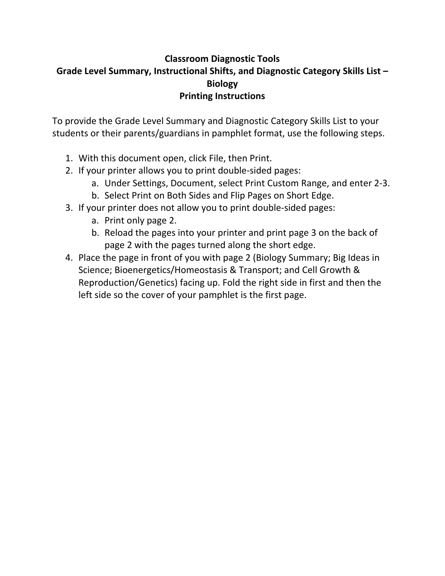## **Classroom Diagnostic Tools Grade Level Summary, Instructional Shifts, and Diagnostic Category Skills List – Biology Printing Instructions**

To provide the Grade Level Summary and Diagnostic Category Skills List to your students or their parents/guardians in pamphlet format, use the following steps.

- 1. With this document open, click File, then Print.
- 2. If your printer allows you to print double‐sided pages:
	- a. Under Settings, Document, select Print Custom Range, and enter 2‐3.
	- b. Select Print on Both Sides and Flip Pages on Short Edge.
- 3. If your printer does not allow you to print double‐sided pages:
	- a. Print only page 2.
	- b. Reload the pages into your printer and print page 3 on the back of page 2 with the pages turned along the short edge.
- 4. Place the page in front of you with page 2 (Biology Summary; Big Ideas in Science; Bioenergetics/Homeostasis & Transport; and Cell Growth & Reproduction/Genetics) facing up. Fold the right side in first and then the left side so the cover of your pamphlet is the first page.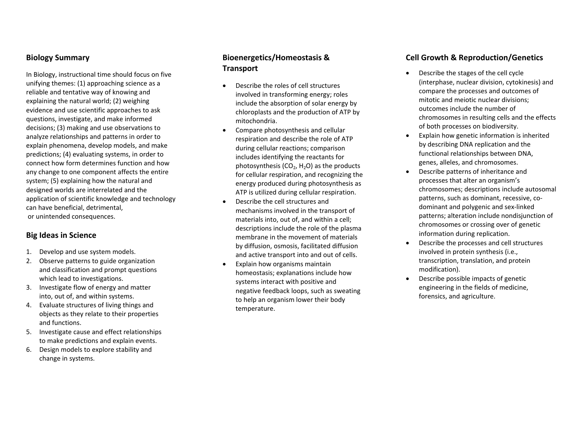#### **Biology Summary**

In Biology, instructional time should focus on five unifying themes: (1) approaching science as <sup>a</sup> reliable and tentative way of knowing and explaining the natural world; (2) weighing evidence and use scientific approaches to ask questions, investigate, and make informed decisions; (3) making and use observations to analyze relationships and patterns in order to explain phenomena, develop models, and make predictions; (4) evaluating systems, in order to connect how form determines function and how any change to one component affects the entire system; (5) explaining how the natural and designed worlds are interrelated and the application of scientific knowledge and technology can have beneficial, detrimental, or unintended consequences.

#### **Big Ideas in Science**

- 1. Develop and use system models.
- 2. Observe patterns to guide organization and classification and prompt questions which lead to investigations.
- 3. Investigate flow of energy and matter into, out of, and within systems.
- 4. Evaluate structures of living things and objects as they relate to their properties and functions.
- 5. Investigate cause and effect relationships to make predictions and explain events.
- 6. Design models to explore stability and change in systems.

### **Bioenergetics/Homeostasis &Transport**

- c Describe the roles of cell structures involved in transforming energy; roles include the absorption of solar energy by chloroplasts and the production of ATP by mitochondria.
- 0 Compare photosynthesis and cellular respiration and describe the role of ATP during cellular reactions; comparison includes identifying the reactants for photosynthesis ( $CO<sub>2</sub>$ , H<sub>2</sub>O) as the products for cellular respiration, and recognizing the energy produced during photosynthesis as ATP is utilized during cellular respiration.
- $\bullet$  Describe the cell structures andmechanisms involved in the transport of materials into, out of, and within <sup>a</sup> cell; descriptions include the role of the plasma membrane in the movement of materials by diffusion, osmosis, facilitated diffusion and active transport into and out of cells.
- $\bullet$  Explain how organisms maintain homeostasis; explanations include how systems interact with positive and negative feedback loops, such as sweating to help an organism lower their body temperature.

#### **Cell Growth& Reproduction/Genetics**

- c Describe the stages of the cell cycle (interphase, nuclear division, cytokinesis) and compare the processes and outcomes of mitotic and meiotic nuclear divisions; outcomes include the number of chromosomes in resulting cells and the effects of both processes on biodiversity.
- e Explain how genetic information is inherited by describing DNA replication and the functional relationships between DNA, genes, alleles, and chromosomes.
- 0 Describe patterns of inheritance and processes that alter an organism's chromosomes; descriptions include autosomal patterns, such as dominant, recessive, co‐ dominant and polygenic and sex‐linked patterns; alteration include nondisjunction of chromosomes or crossing over of genetic information during replication.
- c Describe the processes and cell structures involved in protein synthesis (i.e., transcription, translation, and protein modification).
- e Describe possible impacts of genetic engineering in the fields of medicine, forensics, and agriculture.